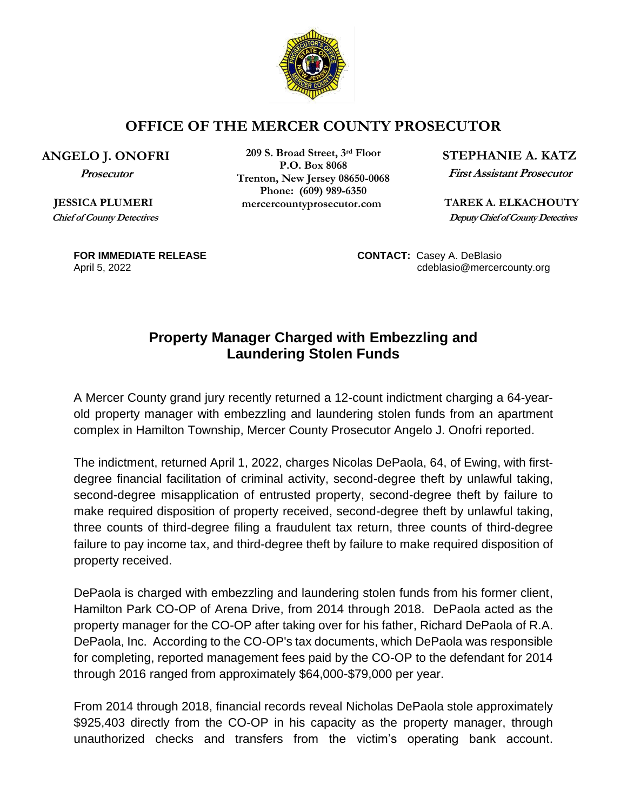

## **OFFICE OF THE MERCER COUNTY PROSECUTOR**

## **ANGELO J. ONOFRI**

**Prosecutor**

 **JESSICA PLUMERI Chief of County Detectives**

**209 S. Broad Street, 3rd Floor P.O. Box 8068 Trenton, New Jersey 08650-0068 Phone: (609) 989-6350** *MEREK A. ELKACHOUTY* 

**STEPHANIE A. KATZ**

**First Assistant Prosecutor**

 **Deputy Chief of County Detectives**

**FOR IMMEDIATE RELEASE CONTACT:** Casey A. DeBlasio April 5, 2022 **cdeblasio@mercercounty.org** 

## **Property Manager Charged with Embezzling and Laundering Stolen Funds**

A Mercer County grand jury recently returned a 12-count indictment charging a 64-yearold property manager with embezzling and laundering stolen funds from an apartment complex in Hamilton Township, Mercer County Prosecutor Angelo J. Onofri reported.

The indictment, returned April 1, 2022, charges Nicolas DePaola, 64, of Ewing, with firstdegree financial facilitation of criminal activity, second-degree theft by unlawful taking, second-degree misapplication of entrusted property, second-degree theft by failure to make required disposition of property received, second-degree theft by unlawful taking, three counts of third-degree filing a fraudulent tax return, three counts of third-degree failure to pay income tax, and third-degree theft by failure to make required disposition of property received.

DePaola is charged with embezzling and laundering stolen funds from his former client, Hamilton Park CO-OP of Arena Drive, from 2014 through 2018. DePaola acted as the property manager for the CO-OP after taking over for his father, Richard DePaola of R.A. DePaola, Inc. According to the CO-OP's tax documents, which DePaola was responsible for completing, reported management fees paid by the CO-OP to the defendant for 2014 through 2016 ranged from approximately \$64,000-\$79,000 per year.

From 2014 through 2018, financial records reveal Nicholas DePaola stole approximately \$925,403 directly from the CO-OP in his capacity as the property manager, through unauthorized checks and transfers from the victim's operating bank account.